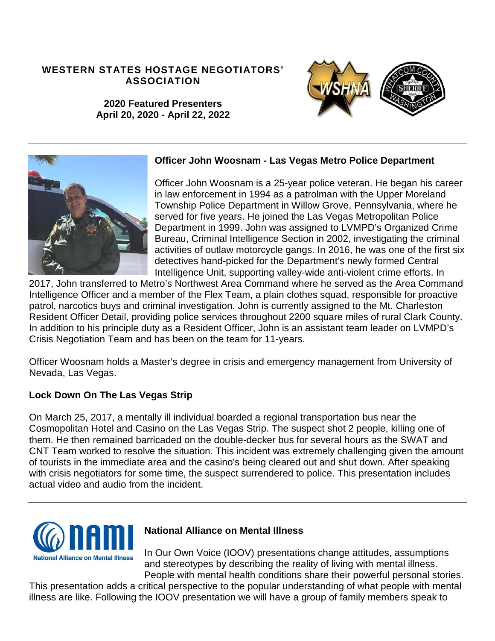### **WESTERN STATES HOSTAGE NEGOTIATORS' ASSOCIATION**



**2020 Featured Presenters April 20, 2020 - April 22, 2022**



#### **Officer John Woosnam - Las Vegas Metro Police Department**

Officer John Woosnam is a 25-year police veteran. He began his career in law enforcement in 1994 as a patrolman with the Upper Moreland Township Police Department in Willow Grove, Pennsylvania, where he served for five years. He joined the Las Vegas Metropolitan Police Department in 1999. John was assigned to LVMPD's Organized Crime Bureau, Criminal Intelligence Section in 2002, investigating the criminal activities of outlaw motorcycle gangs. In 2016, he was one of the first six detectives hand-picked for the Department's newly formed Central Intelligence Unit, supporting valley-wide anti-violent crime efforts. In

2017, John transferred to Metro's Northwest Area Command where he served as the Area Command Intelligence Officer and a member of the Flex Team, a plain clothes squad, responsible for proactive patrol, narcotics buys and criminal investigation. John is currently assigned to the Mt. Charleston Resident Officer Detail, providing police services throughout 2200 square miles of rural Clark County. In addition to his principle duty as a Resident Officer, John is an assistant team leader on LVMPD's Crisis Negotiation Team and has been on the team for 11-years.

Officer Woosnam holds a Master's degree in crisis and emergency management from University of Nevada, Las Vegas.

## **Lock Down On The Las Vegas Strip**

On March 25, 2017, a mentally ill individual boarded a regional transportation bus near the Cosmopolitan Hotel and Casino on the Las Vegas Strip. The suspect shot 2 people, killing one of them. He then remained barricaded on the double-decker bus for several hours as the SWAT and CNT Team worked to resolve the situation. This incident was extremely challenging given the amount of tourists in the immediate area and the casino's being cleared out and shut down. After speaking with crisis negotiators for some time, the suspect surrendered to police. This presentation includes actual video and audio from the incident.



## **National Alliance on Mental Illness**

In Our Own Voice (IOOV) presentations change attitudes, assumptions and stereotypes by describing the reality of living with mental illness. People with mental health conditions share their powerful personal stories.

This presentation adds a critical perspective to the popular understanding of what people with mental illness are like. Following the IOOV presentation we will have a group of family members speak to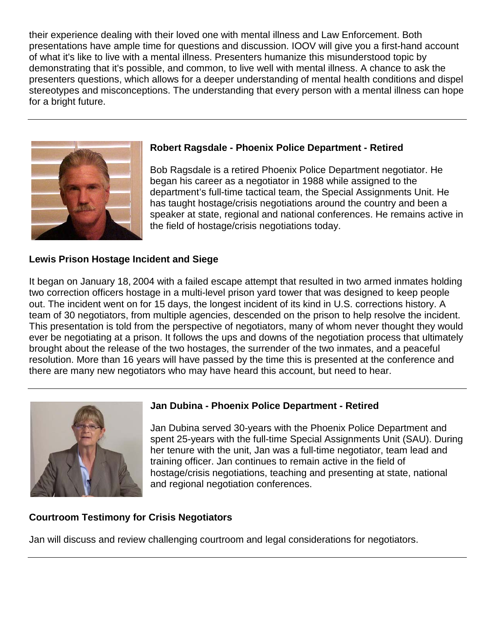their experience dealing with their loved one with mental illness and Law Enforcement. Both presentations have ample time for questions and discussion. IOOV will give you a first-hand account of what it's like to live with a mental illness. Presenters humanize this misunderstood topic by demonstrating that it's possible, and common, to live well with mental illness. A chance to ask the presenters questions, which allows for a deeper understanding of mental health conditions and dispel stereotypes and misconceptions. The understanding that every person with a mental illness can hope for a bright future.



#### **Robert Ragsdale - Phoenix Police Department - Retired**

Bob Ragsdale is a retired Phoenix Police Department negotiator. He began his career as a negotiator in 1988 while assigned to the department's full-time tactical team, the Special Assignments Unit. He has taught hostage/crisis negotiations around the country and been a speaker at state, regional and national conferences. He remains active in the field of hostage/crisis negotiations today.

#### **Lewis Prison Hostage Incident and Siege**

It began on January 18, 2004 with a failed escape attempt that resulted in two armed inmates holding two correction officers hostage in a multi-level prison yard tower that was designed to keep people out. The incident went on for 15 days, the longest incident of its kind in U.S. corrections history. A team of 30 negotiators, from multiple agencies, descended on the prison to help resolve the incident. This presentation is told from the perspective of negotiators, many of whom never thought they would ever be negotiating at a prison. It follows the ups and downs of the negotiation process that ultimately brought about the release of the two hostages, the surrender of the two inmates, and a peaceful resolution. More than 16 years will have passed by the time this is presented at the conference and there are many new negotiators who may have heard this account, but need to hear.



#### **Jan Dubina - Phoenix Police Department - Retired**

Jan Dubina served 30-years with the Phoenix Police Department and spent 25-years with the full-time Special Assignments Unit (SAU). During her tenure with the unit, Jan was a full-time negotiator, team lead and training officer. Jan continues to remain active in the field of hostage/crisis negotiations, teaching and presenting at state, national and regional negotiation conferences.

#### **Courtroom Testimony for Crisis Negotiators**

Jan will discuss and review challenging courtroom and legal considerations for negotiators.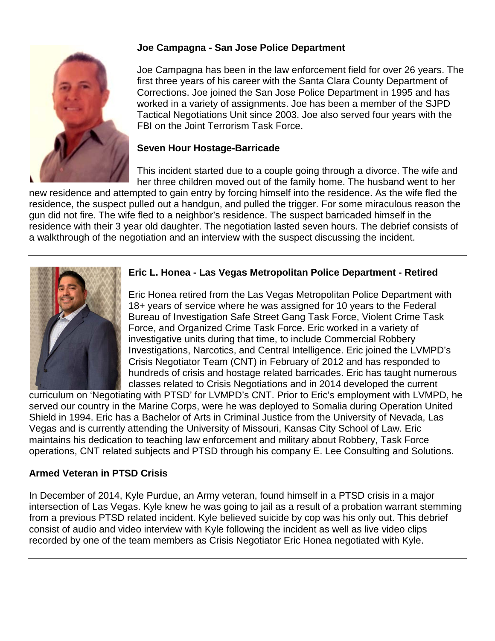

# **Joe Campagna - San Jose Police Department**

Joe Campagna has been in the law enforcement field for over 26 years. The first three years of his career with the Santa Clara County Department of Corrections. Joe joined the San Jose Police Department in 1995 and has worked in a variety of assignments. Joe has been a member of the SJPD Tactical Negotiations Unit since 2003. Joe also served four years with the FBI on the Joint Terrorism Task Force.

## **Seven Hour Hostage-Barricade**

This incident started due to a couple going through a divorce. The wife and her three children moved out of the family home. The husband went to her

new residence and attempted to gain entry by forcing himself into the residence. As the wife fled the residence, the suspect pulled out a handgun, and pulled the trigger. For some miraculous reason the gun did not fire. The wife fled to a neighbor's residence. The suspect barricaded himself in the residence with their 3 year old daughter. The negotiation lasted seven hours. The debrief consists of a walkthrough of the negotiation and an interview with the suspect discussing the incident.



## **Eric L. Honea - Las Vegas Metropolitan Police Department - Retired**

Eric Honea retired from the Las Vegas Metropolitan Police Department with 18+ years of service where he was assigned for 10 years to the Federal Bureau of Investigation Safe Street Gang Task Force, Violent Crime Task Force, and Organized Crime Task Force. Eric worked in a variety of investigative units during that time, to include Commercial Robbery Investigations, Narcotics, and Central Intelligence. Eric joined the LVMPD's Crisis Negotiator Team (CNT) in February of 2012 and has responded to hundreds of crisis and hostage related barricades. Eric has taught numerous classes related to Crisis Negotiations and in 2014 developed the current

curriculum on 'Negotiating with PTSD' for LVMPD's CNT. Prior to Eric's employment with LVMPD, he served our country in the Marine Corps, were he was deployed to Somalia during Operation United Shield in 1994. Eric has a Bachelor of Arts in Criminal Justice from the University of Nevada, Las Vegas and is currently attending the University of Missouri, Kansas City School of Law. Eric maintains his dedication to teaching law enforcement and military about Robbery, Task Force operations, CNT related subjects and PTSD through his company E. Lee Consulting and Solutions.

# **Armed Veteran in PTSD Crisis**

In December of 2014, Kyle Purdue, an Army veteran, found himself in a PTSD crisis in a major intersection of Las Vegas. Kyle knew he was going to jail as a result of a probation warrant stemming from a previous PTSD related incident. Kyle believed suicide by cop was his only out. This debrief consist of audio and video interview with Kyle following the incident as well as live video clips recorded by one of the team members as Crisis Negotiator Eric Honea negotiated with Kyle.